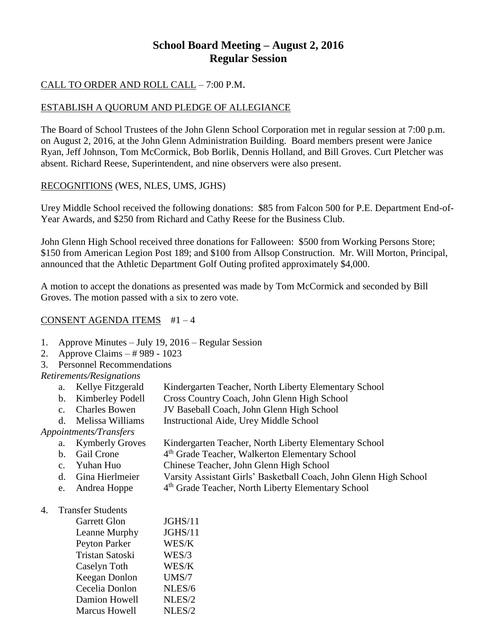# **School Board Meeting – August 2, 2016 Regular Session**

# CALL TO ORDER AND ROLL CALL – 7:00 P.M.

# ESTABLISH A QUORUM AND PLEDGE OF ALLEGIANCE

The Board of School Trustees of the John Glenn School Corporation met in regular session at 7:00 p.m. on August 2, 2016, at the John Glenn Administration Building. Board members present were Janice Ryan, Jeff Johnson, Tom McCormick, Bob Borlik, Dennis Holland, and Bill Groves. Curt Pletcher was absent. Richard Reese, Superintendent, and nine observers were also present.

# RECOGNITIONS (WES, NLES, UMS, JGHS)

Urey Middle School received the following donations: \$85 from Falcon 500 for P.E. Department End-of-Year Awards, and \$250 from Richard and Cathy Reese for the Business Club.

John Glenn High School received three donations for Falloween: \$500 from Working Persons Store; \$150 from American Legion Post 189; and \$100 from Allsop Construction. Mr. Will Morton, Principal, announced that the Athletic Department Golf Outing profited approximately \$4,000.

A motion to accept the donations as presented was made by Tom McCormick and seconded by Bill Groves. The motion passed with a six to zero vote.

## CONSENT AGENDA ITEMS #1 – 4

- 1. Approve Minutes July 19, 2016 Regular Session
- 2. Approve Claims # 989 1023
- 3. Personnel Recommendations

## *Retirements/Resignations*

- a. Kellye Fitzgerald Kindergarten Teacher, North Liberty Elementary School
- b. Kimberley Podell Cross Country Coach, John Glenn High School
- c. Charles Bowen JV Baseball Coach, John Glenn High School
- d. Melissa Williams Instructional Aide, Urey Middle School

## *Appointments/Transfers*

- a. Kymberly Groves Kindergarten Teacher, North Liberty Elementary School
- b. Gail Crone 4<sup>th</sup> Grade Teacher, Walkerton Elementary School
- c. Yuhan Huo Chinese Teacher, John Glenn High School
- d. Gina Hierlmeier Varsity Assistant Girls' Basketball Coach, John Glenn High School
- e. Andrea Hoppe 4<sup>th</sup> Grade Teacher, North Liberty Elementary School

#### 4. Transfer Students

| <b>Garrett Glon</b>  | JGHS/11 |
|----------------------|---------|
| Leanne Murphy        | JGHS/11 |
| <b>Peyton Parker</b> | WES/K   |
| Tristan Satoski      | WES/3   |
| Caselyn Toth         | WES/K   |
| Keegan Donlon        | UMS/7   |
| Cecelia Donlon       | NLES/6  |
| Damion Howell        | NLES/2  |
| <b>Marcus Howell</b> | NLES/2  |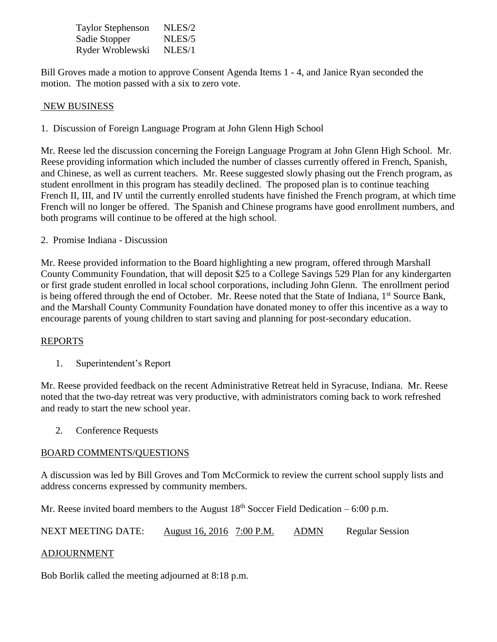| <b>Taylor Stephenson</b> | NLES/2 |
|--------------------------|--------|
| Sadie Stopper            | NLES/5 |
| Ryder Wroblewski         | NLES/1 |

Bill Groves made a motion to approve Consent Agenda Items 1 - 4, and Janice Ryan seconded the motion. The motion passed with a six to zero vote.

#### NEW BUSINESS

1. Discussion of Foreign Language Program at John Glenn High School

Mr. Reese led the discussion concerning the Foreign Language Program at John Glenn High School. Mr. Reese providing information which included the number of classes currently offered in French, Spanish, and Chinese, as well as current teachers. Mr. Reese suggested slowly phasing out the French program, as student enrollment in this program has steadily declined. The proposed plan is to continue teaching French II, III, and IV until the currently enrolled students have finished the French program, at which time French will no longer be offered. The Spanish and Chinese programs have good enrollment numbers, and both programs will continue to be offered at the high school.

2. Promise Indiana - Discussion

Mr. Reese provided information to the Board highlighting a new program, offered through Marshall County Community Foundation, that will deposit \$25 to a College Savings 529 Plan for any kindergarten or first grade student enrolled in local school corporations, including John Glenn. The enrollment period is being offered through the end of October. Mr. Reese noted that the State of Indiana, 1<sup>st</sup> Source Bank, and the Marshall County Community Foundation have donated money to offer this incentive as a way to encourage parents of young children to start saving and planning for post-secondary education.

## REPORTS

1. Superintendent's Report

Mr. Reese provided feedback on the recent Administrative Retreat held in Syracuse, Indiana. Mr. Reese noted that the two-day retreat was very productive, with administrators coming back to work refreshed and ready to start the new school year.

2. Conference Requests

## BOARD COMMENTS/QUESTIONS

A discussion was led by Bill Groves and Tom McCormick to review the current school supply lists and address concerns expressed by community members.

Mr. Reese invited board members to the August  $18<sup>th</sup>$  Soccer Field Dedication – 6:00 p.m.

NEXT MEETING DATE: August 16, 2016 7:00 P.M. ADMN Regular Session

#### ADJOURNMENT

Bob Borlik called the meeting adjourned at 8:18 p.m.